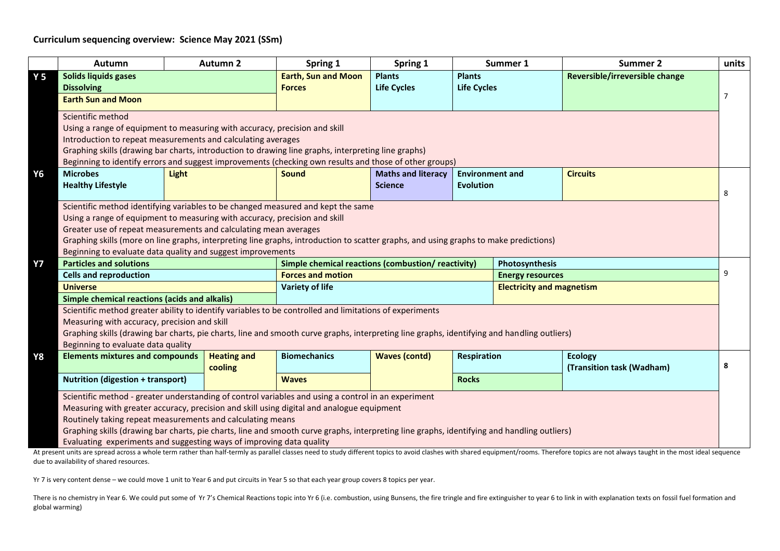## **Curriculum sequencing overview: Science May 2021 (SSm)**

|                | <b>Autumn</b>                                                                                                                                                                                                 |                                               | <b>Autumn 2</b>    | Spring 1                   | Spring 1                                           |                                    | Summer 1                         | <b>Summer 2</b>                                                                                                                                                                                                                | units          |
|----------------|---------------------------------------------------------------------------------------------------------------------------------------------------------------------------------------------------------------|-----------------------------------------------|--------------------|----------------------------|----------------------------------------------------|------------------------------------|----------------------------------|--------------------------------------------------------------------------------------------------------------------------------------------------------------------------------------------------------------------------------|----------------|
| Y <sub>5</sub> | Solids liquids gases                                                                                                                                                                                          |                                               |                    | <b>Earth, Sun and Moon</b> | <b>Plants</b>                                      | <b>Plants</b>                      |                                  | Reversible/irreversible change                                                                                                                                                                                                 |                |
|                | <b>Dissolving</b>                                                                                                                                                                                             |                                               |                    | <b>Forces</b>              | <b>Life Cycles</b>                                 | <b>Life Cycles</b>                 |                                  |                                                                                                                                                                                                                                |                |
|                | <b>Earth Sun and Moon</b>                                                                                                                                                                                     |                                               |                    |                            |                                                    |                                    |                                  |                                                                                                                                                                                                                                | $\overline{7}$ |
|                | Scientific method                                                                                                                                                                                             |                                               |                    |                            |                                                    |                                    |                                  |                                                                                                                                                                                                                                |                |
|                | Using a range of equipment to measuring with accuracy, precision and skill                                                                                                                                    |                                               |                    |                            |                                                    |                                    |                                  |                                                                                                                                                                                                                                |                |
|                | Introduction to repeat measurements and calculating averages                                                                                                                                                  |                                               |                    |                            |                                                    |                                    |                                  |                                                                                                                                                                                                                                |                |
|                | Graphing skills (drawing bar charts, introduction to drawing line graphs, interpreting line graphs)<br>Beginning to identify errors and suggest improvements (checking own results and those of other groups) |                                               |                    |                            |                                                    |                                    |                                  |                                                                                                                                                                                                                                |                |
|                |                                                                                                                                                                                                               |                                               |                    |                            |                                                    |                                    |                                  |                                                                                                                                                                                                                                |                |
| Υ6             | <b>Microbes</b>                                                                                                                                                                                               | <b>Light</b>                                  |                    | <b>Sound</b>               | <b>Maths and literacy</b>                          | <b>Environment and</b>             |                                  | <b>Circuits</b>                                                                                                                                                                                                                |                |
|                | <b>Healthy Lifestyle</b>                                                                                                                                                                                      |                                               |                    |                            | <b>Science</b>                                     | <b>Evolution</b>                   |                                  |                                                                                                                                                                                                                                |                |
|                |                                                                                                                                                                                                               |                                               |                    |                            |                                                    |                                    |                                  |                                                                                                                                                                                                                                | 8              |
|                | Scientific method identifying variables to be changed measured and kept the same                                                                                                                              |                                               |                    |                            |                                                    |                                    |                                  |                                                                                                                                                                                                                                |                |
|                | Using a range of equipment to measuring with accuracy, precision and skill                                                                                                                                    |                                               |                    |                            |                                                    |                                    |                                  |                                                                                                                                                                                                                                |                |
|                | Greater use of repeat measurements and calculating mean averages                                                                                                                                              |                                               |                    |                            |                                                    |                                    |                                  |                                                                                                                                                                                                                                |                |
|                | Graphing skills (more on line graphs, interpreting line graphs, introduction to scatter graphs, and using graphs to make predictions)                                                                         |                                               |                    |                            |                                                    |                                    |                                  |                                                                                                                                                                                                                                |                |
|                | Beginning to evaluate data quality and suggest improvements                                                                                                                                                   |                                               |                    |                            |                                                    |                                    |                                  |                                                                                                                                                                                                                                |                |
| <b>Y7</b>      |                                                                                                                                                                                                               | <b>Particles and solutions</b>                |                    |                            | Simple chemical reactions (combustion/ reactivity) |                                    |                                  | Photosynthesis                                                                                                                                                                                                                 |                |
|                | <b>Cells and reproduction</b>                                                                                                                                                                                 |                                               |                    | <b>Forces and motion</b>   |                                                    |                                    | <b>Energy resources</b>          |                                                                                                                                                                                                                                |                |
|                | <b>Universe</b>                                                                                                                                                                                               |                                               |                    | <b>Variety of life</b>     |                                                    |                                    | <b>Electricity and magnetism</b> |                                                                                                                                                                                                                                |                |
|                |                                                                                                                                                                                                               | Simple chemical reactions (acids and alkalis) |                    |                            |                                                    |                                    |                                  |                                                                                                                                                                                                                                |                |
|                | Scientific method greater ability to identify variables to be controlled and limitations of experiments                                                                                                       |                                               |                    |                            |                                                    |                                    |                                  |                                                                                                                                                                                                                                |                |
|                | Measuring with accuracy, precision and skill                                                                                                                                                                  |                                               |                    |                            |                                                    |                                    |                                  |                                                                                                                                                                                                                                |                |
|                | Graphing skills (drawing bar charts, pie charts, line and smooth curve graphs, interpreting line graphs, identifying and handling outliers)                                                                   |                                               |                    |                            |                                                    |                                    |                                  |                                                                                                                                                                                                                                |                |
|                | Beginning to evaluate data quality                                                                                                                                                                            |                                               |                    |                            |                                                    |                                    |                                  |                                                                                                                                                                                                                                |                |
| Υ8             | <b>Elements mixtures and compounds</b>                                                                                                                                                                        |                                               | <b>Heating and</b> | <b>Biomechanics</b>        | <b>Waves (contd)</b>                               | <b>Respiration</b><br><b>Rocks</b> |                                  | <b>Ecology</b>                                                                                                                                                                                                                 |                |
|                |                                                                                                                                                                                                               |                                               | cooling            |                            |                                                    |                                    |                                  | (Transition task (Wadham)                                                                                                                                                                                                      | 8              |
|                | <b>Nutrition (digestion + transport)</b>                                                                                                                                                                      |                                               |                    | <b>Waves</b>               |                                                    |                                    |                                  |                                                                                                                                                                                                                                |                |
|                | Scientific method - greater understanding of control variables and using a control in an experiment                                                                                                           |                                               |                    |                            |                                                    |                                    |                                  |                                                                                                                                                                                                                                |                |
|                | Measuring with greater accuracy, precision and skill using digital and analogue equipment                                                                                                                     |                                               |                    |                            |                                                    |                                    |                                  |                                                                                                                                                                                                                                |                |
|                | Routinely taking repeat measurements and calculating means                                                                                                                                                    |                                               |                    |                            |                                                    |                                    |                                  |                                                                                                                                                                                                                                |                |
|                | Graphing skills (drawing bar charts, pie charts, line and smooth curve graphs, interpreting line graphs, identifying and handling outliers)                                                                   |                                               |                    |                            |                                                    |                                    |                                  |                                                                                                                                                                                                                                |                |
|                | Evaluating experiments and suggesting ways of improving data quality                                                                                                                                          |                                               |                    |                            |                                                    |                                    |                                  |                                                                                                                                                                                                                                |                |
|                |                                                                                                                                                                                                               |                                               |                    |                            |                                                    |                                    |                                  | At present units are spread across a whole term rather than half-termly as parallel classes need to study different topics to avoid clashes with shared equipment/rooms. Therefore topics are not always taught in the most id |                |

At present units are spread across a whole term rather than half-termly as parallel classes need to study different topics to avoid clashes with shared equipment/rooms. Therefore topics are not always taught in the most id due to availability of shared resources.

Yr 7 is very content dense – we could move 1 unit to Year 6 and put circuits in Year 5 so that each year group covers 8 topics per year.

There is no chemistry in Year 6. We could put some of Yr 7's Chemical Reactions topic into Yr 6 (i.e. combustion, using Bunsens, the fire tringle and fire extinguisher to year 6 to link in with explanation texts on fossil global warming)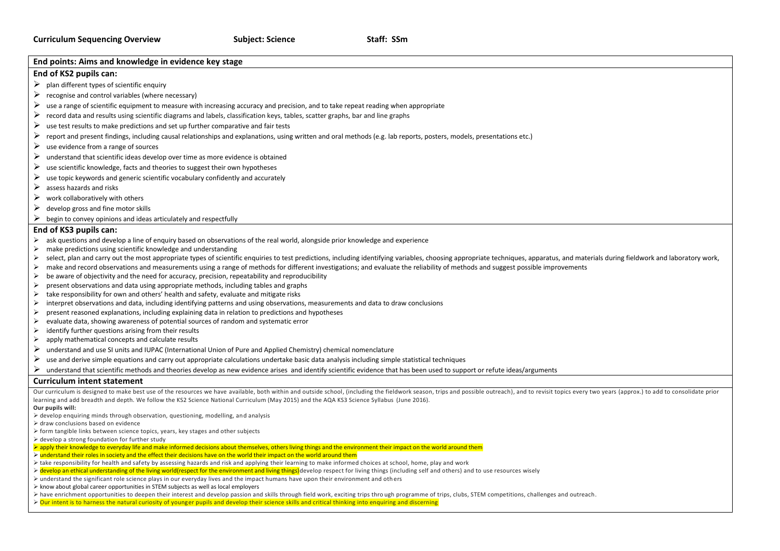| End points: Aims and knowledge in evidence key stage                                                                                                                                                                                                                                                                                                 |  |  |  |  |  |  |
|------------------------------------------------------------------------------------------------------------------------------------------------------------------------------------------------------------------------------------------------------------------------------------------------------------------------------------------------------|--|--|--|--|--|--|
| End of KS2 pupils can:                                                                                                                                                                                                                                                                                                                               |  |  |  |  |  |  |
| ➤<br>plan different types of scientific enquiry                                                                                                                                                                                                                                                                                                      |  |  |  |  |  |  |
| ➤<br>recognise and control variables (where necessary)                                                                                                                                                                                                                                                                                               |  |  |  |  |  |  |
| ➤<br>use a range of scientific equipment to measure with increasing accuracy and precision, and to take repeat reading when appropriate                                                                                                                                                                                                              |  |  |  |  |  |  |
|                                                                                                                                                                                                                                                                                                                                                      |  |  |  |  |  |  |
| ➤<br>record data and results using scientific diagrams and labels, classification keys, tables, scatter graphs, bar and line graphs<br>➤                                                                                                                                                                                                             |  |  |  |  |  |  |
| use test results to make predictions and set up further comparative and fair tests                                                                                                                                                                                                                                                                   |  |  |  |  |  |  |
| ➤<br>report and present findings, including causal relationships and explanations, using written and oral methods (e.g. lab reports, posters, models, presentations etc.)                                                                                                                                                                            |  |  |  |  |  |  |
| ➤<br>use evidence from a range of sources                                                                                                                                                                                                                                                                                                            |  |  |  |  |  |  |
| understand that scientific ideas develop over time as more evidence is obtained<br>➤                                                                                                                                                                                                                                                                 |  |  |  |  |  |  |
| ➤<br>use scientific knowledge, facts and theories to suggest their own hypotheses                                                                                                                                                                                                                                                                    |  |  |  |  |  |  |
| ➤<br>use topic keywords and generic scientific vocabulary confidently and accurately                                                                                                                                                                                                                                                                 |  |  |  |  |  |  |
| assess hazards and risks<br>➤                                                                                                                                                                                                                                                                                                                        |  |  |  |  |  |  |
| work collaboratively with others<br>➤                                                                                                                                                                                                                                                                                                                |  |  |  |  |  |  |
| develop gross and fine motor skills<br>⋗                                                                                                                                                                                                                                                                                                             |  |  |  |  |  |  |
| ⋗                                                                                                                                                                                                                                                                                                                                                    |  |  |  |  |  |  |
| begin to convey opinions and ideas articulately and respectfully                                                                                                                                                                                                                                                                                     |  |  |  |  |  |  |
| End of KS3 pupils can:                                                                                                                                                                                                                                                                                                                               |  |  |  |  |  |  |
| ask questions and develop a line of enguiry based on observations of the real world, alongside prior knowledge and experience<br>➤                                                                                                                                                                                                                   |  |  |  |  |  |  |
| make predictions using scientific knowledge and understanding<br>⋗                                                                                                                                                                                                                                                                                   |  |  |  |  |  |  |
| select, plan and carry out the most appropriate types of scientific enquiries to test predictions, including identifying variables, choosing appropriate techniques, apparatus, and materials during fieldwork and laboratory<br>➤                                                                                                                   |  |  |  |  |  |  |
| make and record observations and measurements using a range of methods for different investigations; and evaluate the reliability of methods and suggest possible improvements<br>➤                                                                                                                                                                  |  |  |  |  |  |  |
| $\blacktriangleright$<br>be aware of objectivity and the need for accuracy, precision, repeatability and reproducibility                                                                                                                                                                                                                             |  |  |  |  |  |  |
| present observations and data using appropriate methods, including tables and graphs<br>⋗                                                                                                                                                                                                                                                            |  |  |  |  |  |  |
| $\blacktriangleright$<br>take responsibility for own and others' health and safety, evaluate and mitigate risks                                                                                                                                                                                                                                      |  |  |  |  |  |  |
| interpret observations and data, including identifying patterns and using observations, measurements and data to draw conclusions<br>➤                                                                                                                                                                                                               |  |  |  |  |  |  |
| present reasoned explanations, including explaining data in relation to predictions and hypotheses<br>➤                                                                                                                                                                                                                                              |  |  |  |  |  |  |
| evaluate data, showing awareness of potential sources of random and systematic error<br>➤<br>identify further questions arising from their results<br>➤                                                                                                                                                                                              |  |  |  |  |  |  |
| apply mathematical concepts and calculate results<br>➤                                                                                                                                                                                                                                                                                               |  |  |  |  |  |  |
| ➤                                                                                                                                                                                                                                                                                                                                                    |  |  |  |  |  |  |
| understand and use SI units and IUPAC (International Union of Pure and Applied Chemistry) chemical nomenclature                                                                                                                                                                                                                                      |  |  |  |  |  |  |
| ➤<br>use and derive simple equations and carry out appropriate calculations undertake basic data analysis including simple statistical techniques                                                                                                                                                                                                    |  |  |  |  |  |  |
| understand that scientific methods and theories develop as new evidence arises and identify scientific evidence that has been used to support or refute ideas/arguments                                                                                                                                                                              |  |  |  |  |  |  |
| <b>Curriculum intent statement</b>                                                                                                                                                                                                                                                                                                                   |  |  |  |  |  |  |
| Our curriculum is designed to make best use of the resources we have available, both within and outside school, (including the fieldwork season, trips and possible outreach), and to revisit topics every two years (approx.)                                                                                                                       |  |  |  |  |  |  |
| learning and add breadth and depth. We follow the KS2 Science National Curriculum (May 2015) and the AQA KS3 Science Syllabus (June 2016).                                                                                                                                                                                                           |  |  |  |  |  |  |
| Our pupils will:                                                                                                                                                                                                                                                                                                                                     |  |  |  |  |  |  |
| $\triangleright$ develop enquiring minds through observation, questioning, modelling, and analysis<br>> draw conclusions based on evidence                                                                                                                                                                                                           |  |  |  |  |  |  |
| > form tangible links between science topics, years, key stages and other subjects                                                                                                                                                                                                                                                                   |  |  |  |  |  |  |
| $\triangleright$ develop a strong foundation for further study                                                                                                                                                                                                                                                                                       |  |  |  |  |  |  |
| > apply their knowledge to everyday life and make informed decisions about themselves, others living things and the environment their impact on the world around them                                                                                                                                                                                |  |  |  |  |  |  |
| ► understand their roles in society and the effect their decisions have on the world their impact on the world around them                                                                                                                                                                                                                           |  |  |  |  |  |  |
| > take responsibility for health and safety by assessing hazards and risk and applying their learning to make informed choices at school, home, play and work                                                                                                                                                                                        |  |  |  |  |  |  |
| > develop an ethical understanding of the living world(respect for the environment and living things) develop respect for living things (including self and others) and to use resources wisely<br>$\triangleright$ understand the significant role science plays in our everyday lives and the impact humans have upon their environment and others |  |  |  |  |  |  |
| $\triangleright$ know about global career opportunities in STEM subjects as well as local employers                                                                                                                                                                                                                                                  |  |  |  |  |  |  |
| > have enrichment opportunities to deepen their interest and develop passion and skills through field work, exciting trips through programme of trips, clubs, STEM competitions, challenges and outreach.                                                                                                                                            |  |  |  |  |  |  |

> Our intent is to harness the natural curiosity of younger pupils and develop their science skills and critical thinking into enquiring and discerning